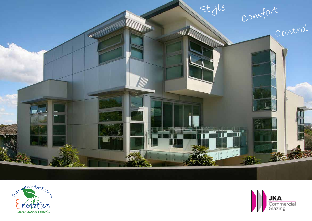



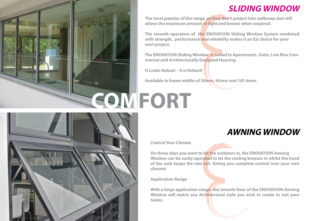

#### **SLIDING WINDOW**

**The most popular of the range, as they don't project into walkways but still allows the maximum amount of light and breeze when required.**

**The smooth operation of the ENOVATION Sliding Window System combined with strength, performance and reliability makes it an Ezi choice for your next project.** 

**The ENOVATION Sliding Window is suited to Apartments, Units, Low Rise Commercial and Architecturally Designed Housing.**

**It Looks Robust – It is Robust!**

**Available in frame widths of 50mm, 65mm and 101.6mm.**

# **COMFORT**



# **AWNING WINDOW**

**Control Your Climate**

**On those days you want to let the outdoors in, the ENOVATION Awning Window can be easily operated to let the cooling breezes in whilst the hood of the sash keeps the rain out. Giving you complete control over your own climate!**

**Application Range**

**With a large application range, the smooth lines of the ENOVATION Awning Window will match any Architectural style you wish to create to suit your tastes.**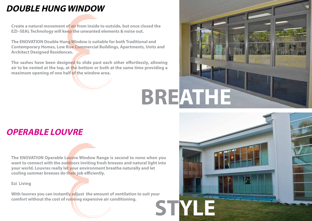## **DOUBLE HUNG WINDOW**

**Create a natural movement of air from inside to outside, but once closed the EZI–SEAL Technology will keep the unwanted elements & noise out.** 

**The ENOVATION Double Hung Window is suitable for both Traditional and Contemporary Homes, Low Rise Commercial Buildings, Apartments, Units and Architect Designed Residences.**

The sashes have been designed to slide past each other effortlessly, allowing **air to be vented at the top, at the bottom or both at the same time providing a maximum opening of one half of the window area.**



### **OPERABLE LOUVRE**

**The ENOVATION Operable Louvre Window Range is second to none when you want to connect with the outdoors inviting fresh breezes and natural light into your world. Louvres really let your environment breathe naturally and let cooling summer breezes do their job efficiently.** 

**Ezi Living** 

**With louvres you can instantly adjust the amount of ventilation to suit your comfort without the cost of running expensive air conditioning. STYLE**